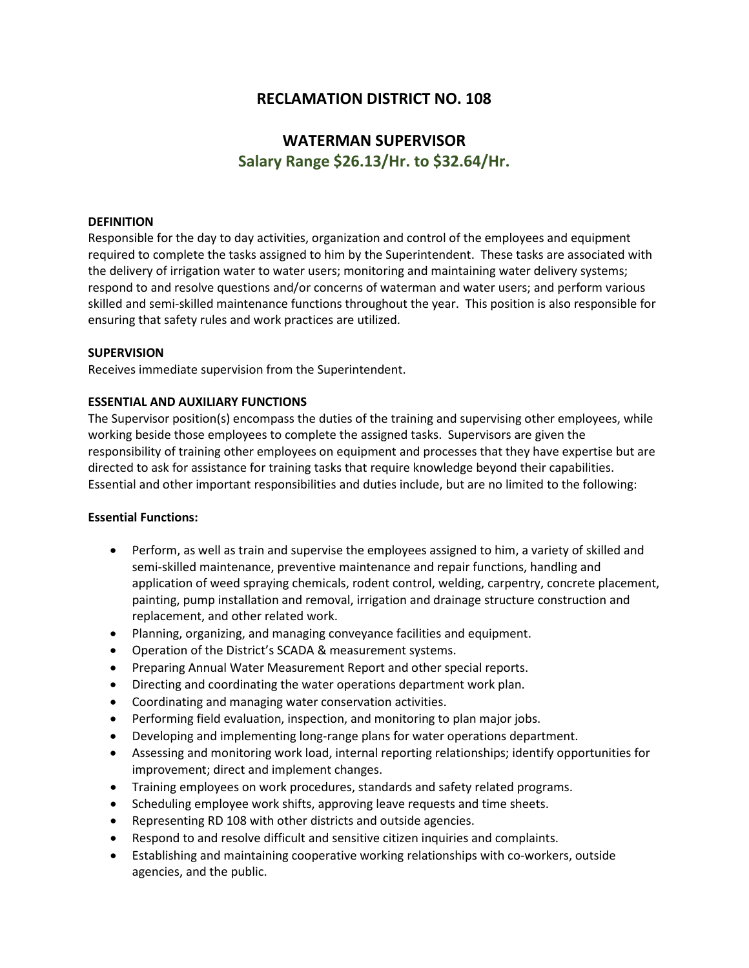## **RECLAMATION DISTRICT NO. 108**

# **WATERMAN SUPERVISOR Salary Range \$26.13/Hr. to \$32.64/Hr.**

## **DEFINITION**

Responsible for the day to day activities, organization and control of the employees and equipment required to complete the tasks assigned to him by the Superintendent. These tasks are associated with the delivery of irrigation water to water users; monitoring and maintaining water delivery systems; respond to and resolve questions and/or concerns of waterman and water users; and perform various skilled and semi-skilled maintenance functions throughout the year. This position is also responsible for ensuring that safety rules and work practices are utilized.

## **SUPERVISION**

Receives immediate supervision from the Superintendent.

## **ESSENTIAL AND AUXILIARY FUNCTIONS**

The Supervisor position(s) encompass the duties of the training and supervising other employees, while working beside those employees to complete the assigned tasks. Supervisors are given the responsibility of training other employees on equipment and processes that they have expertise but are directed to ask for assistance for training tasks that require knowledge beyond their capabilities. Essential and other important responsibilities and duties include, but are no limited to the following:

## **Essential Functions:**

- Perform, as well as train and supervise the employees assigned to him, a variety of skilled and semi-skilled maintenance, preventive maintenance and repair functions, handling and application of weed spraying chemicals, rodent control, welding, carpentry, concrete placement, painting, pump installation and removal, irrigation and drainage structure construction and replacement, and other related work.
- Planning, organizing, and managing conveyance facilities and equipment.
- Operation of the District's SCADA & measurement systems.
- Preparing Annual Water Measurement Report and other special reports.
- Directing and coordinating the water operations department work plan.
- Coordinating and managing water conservation activities.
- Performing field evaluation, inspection, and monitoring to plan major jobs.
- Developing and implementing long-range plans for water operations department.
- Assessing and monitoring work load, internal reporting relationships; identify opportunities for improvement; direct and implement changes.
- Training employees on work procedures, standards and safety related programs.
- Scheduling employee work shifts, approving leave requests and time sheets.
- Representing RD 108 with other districts and outside agencies.
- Respond to and resolve difficult and sensitive citizen inquiries and complaints.
- Establishing and maintaining cooperative working relationships with co-workers, outside agencies, and the public.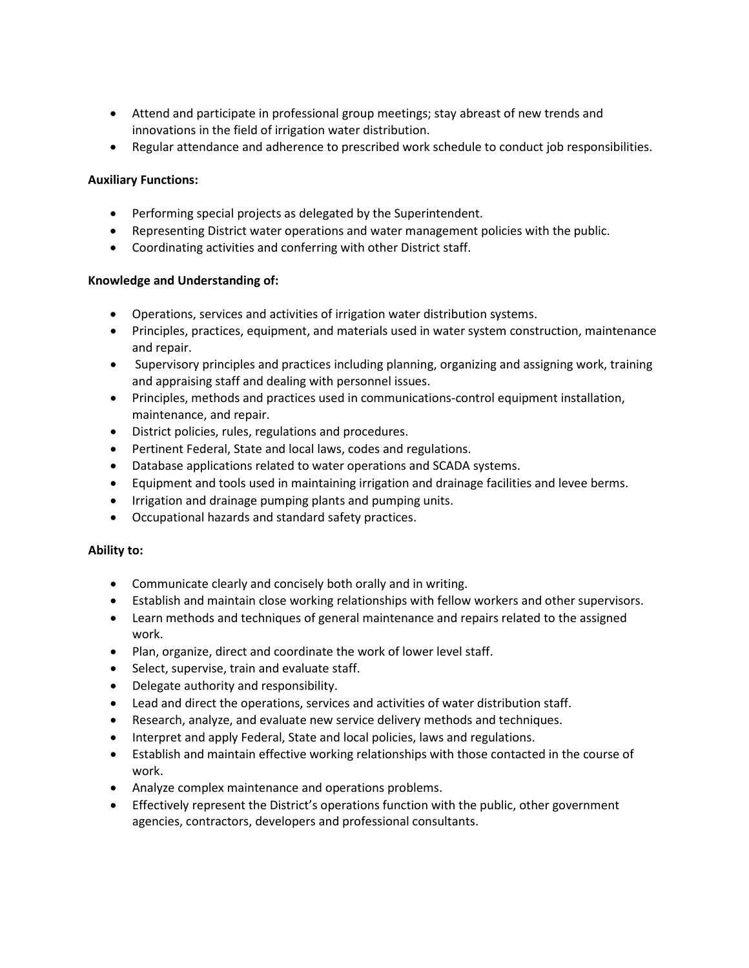- Attend and participate in professional group meetings; stay abreast of new trends and innovations in the field of irrigation water distribution.
- Regular attendance and adherence to prescribed work schedule to conduct job responsibilities.

## **Auxiliary Functions:**

- Performing special projects as delegated by the Superintendent.
- Representing District water operations and water management policies with the public.
- Coordinating activities and conferring with other District staff.

## **Knowledge and Understanding of:**

- Operations, services and activities of irrigation water distribution systems.
- Principles, practices, equipment, and materials used in water system construction, maintenance and repair.
- Supervisory principles and practices including planning, organizing and assigning work, training and appraising staff and dealing with personnel issues.
- Principles, methods and practices used in communications-control equipment installation, maintenance, and repair.
- District policies, rules, regulations and procedures.
- Pertinent Federal, State and local laws, codes and regulations.
- Database applications related to water operations and SCADA systems.
- Equipment and tools used in maintaining irrigation and drainage facilities and levee berms.
- Irrigation and drainage pumping plants and pumping units.
- Occupational hazards and standard safety practices.

## **Ability to:**

- Communicate clearly and concisely both orally and in writing.
- Establish and maintain close working relationships with fellow workers and other supervisors.
- Learn methods and techniques of general maintenance and repairs related to the assigned work.
- Plan, organize, direct and coordinate the work of lower level staff.
- Select, supervise, train and evaluate staff.
- Delegate authority and responsibility.
- Lead and direct the operations, services and activities of water distribution staff.
- Research, analyze, and evaluate new service delivery methods and techniques.
- Interpret and apply Federal, State and local policies, laws and regulations.
- Establish and maintain effective working relationships with those contacted in the course of work.
- Analyze complex maintenance and operations problems.
- Effectively represent the District's operations function with the public, other government agencies, contractors, developers and professional consultants.